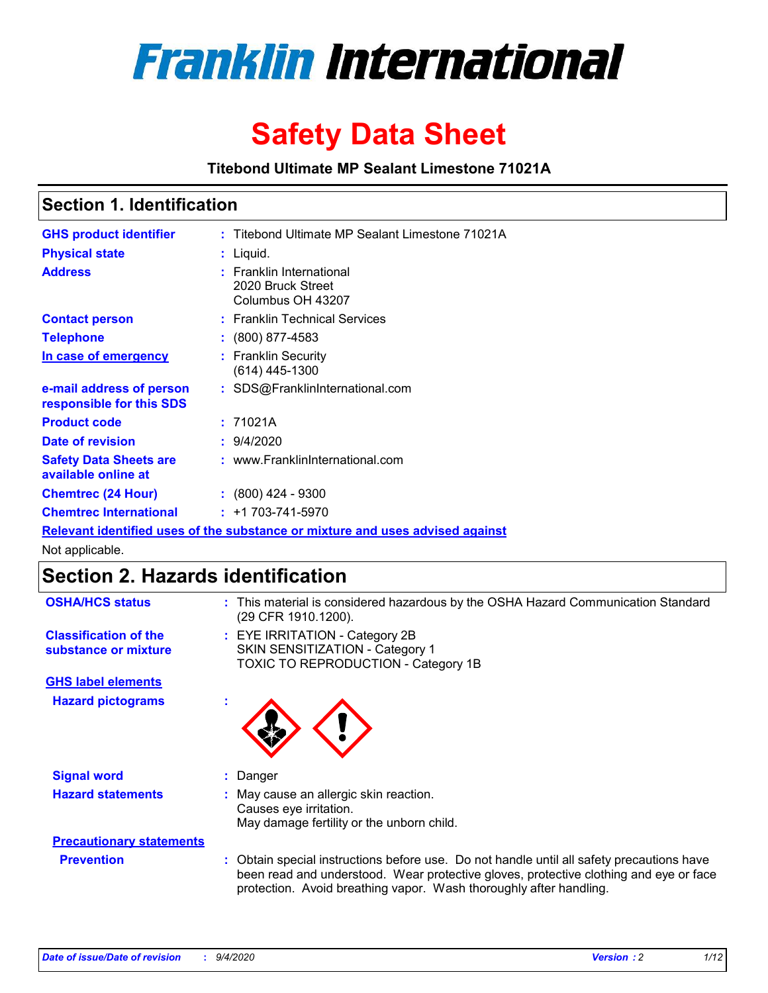

# **Safety Data Sheet**

**Titebond Ultimate MP Sealant Limestone 71021A**

### **Section 1. Identification**

| <b>GHS product identifier</b>                                                 | : Titebond Ultimate MP Sealant Limestone 71021A                    |  |  |
|-------------------------------------------------------------------------------|--------------------------------------------------------------------|--|--|
| <b>Physical state</b>                                                         | : Liquid.                                                          |  |  |
| <b>Address</b>                                                                | : Franklin International<br>2020 Bruck Street<br>Columbus OH 43207 |  |  |
| <b>Contact person</b>                                                         | : Franklin Technical Services                                      |  |  |
| <b>Telephone</b>                                                              | : (800) 877-4583                                                   |  |  |
| In case of emergency                                                          | : Franklin Security<br>(614) 445-1300                              |  |  |
| e-mail address of person<br>responsible for this SDS                          | : SDS@FranklinInternational.com                                    |  |  |
| <b>Product code</b>                                                           | : 71021A                                                           |  |  |
| Date of revision                                                              | : 9/4/2020                                                         |  |  |
| <b>Safety Data Sheets are</b><br>available online at                          | : www.FranklinInternational.com                                    |  |  |
| <b>Chemtrec (24 Hour)</b>                                                     | : (800) 424 - 9300                                                 |  |  |
| <b>Chemtrec International</b>                                                 | $: +1703 - 741 - 5970$                                             |  |  |
| Relevant identified uses of the substance or mixture and uses advised against |                                                                    |  |  |

Not applicable.

# **Section 2. Hazards identification**

| <b>OSHA/HCS status</b>                               |    | : This material is considered hazardous by the OSHA Hazard Communication Standard<br>(29 CFR 1910.1200).                                                                                                                                                 |
|------------------------------------------------------|----|----------------------------------------------------------------------------------------------------------------------------------------------------------------------------------------------------------------------------------------------------------|
| <b>Classification of the</b><br>substance or mixture |    | : EYE IRRITATION - Category 2B<br>SKIN SENSITIZATION - Category 1<br>TOXIC TO REPRODUCTION - Category 1B                                                                                                                                                 |
| <b>GHS label elements</b>                            |    |                                                                                                                                                                                                                                                          |
| <b>Hazard pictograms</b>                             | ٠  |                                                                                                                                                                                                                                                          |
| <b>Signal word</b>                                   | ÷. | Danger                                                                                                                                                                                                                                                   |
| <b>Hazard statements</b>                             |    | May cause an allergic skin reaction.<br>Causes eye irritation.<br>May damage fertility or the unborn child.                                                                                                                                              |
| <b>Precautionary statements</b>                      |    |                                                                                                                                                                                                                                                          |
| <b>Prevention</b>                                    |    | : Obtain special instructions before use. Do not handle until all safety precautions have<br>been read and understood. Wear protective gloves, protective clothing and eye or face<br>protection. Avoid breathing vapor. Wash thoroughly after handling. |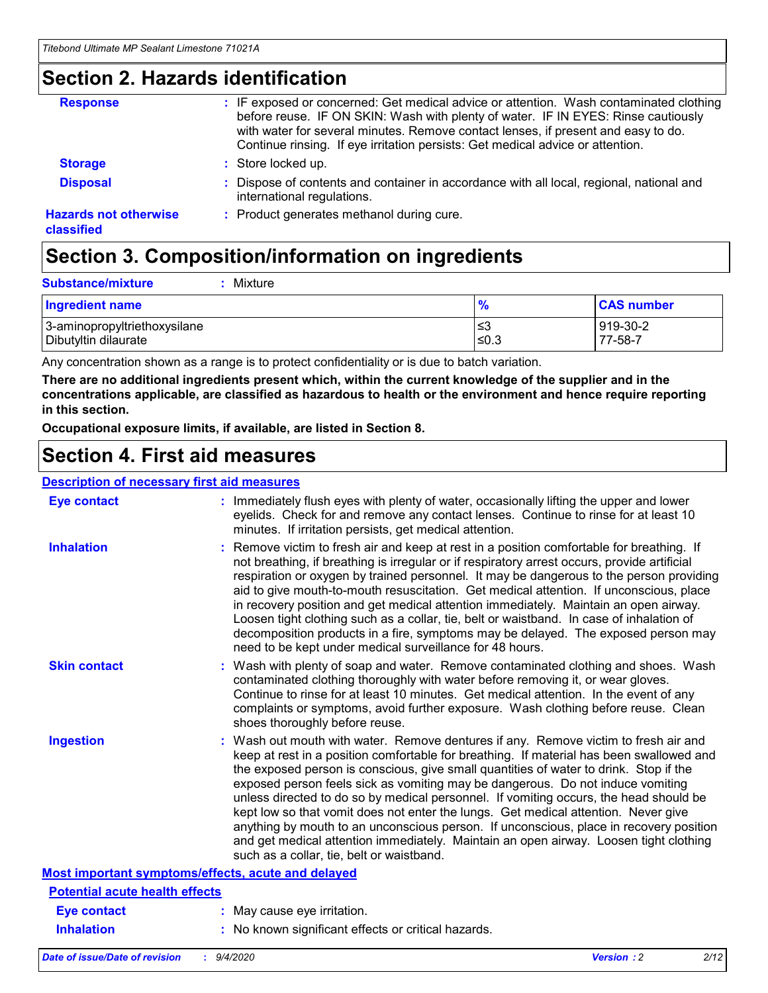### **Section 2. Hazards identification**

| <b>Response</b>                            | : IF exposed or concerned: Get medical advice or attention. Wash contaminated clothing<br>before reuse. IF ON SKIN: Wash with plenty of water. IF IN EYES: Rinse cautiously<br>with water for several minutes. Remove contact lenses, if present and easy to do.<br>Continue rinsing. If eye irritation persists: Get medical advice or attention. |
|--------------------------------------------|----------------------------------------------------------------------------------------------------------------------------------------------------------------------------------------------------------------------------------------------------------------------------------------------------------------------------------------------------|
| <b>Storage</b>                             | : Store locked up.                                                                                                                                                                                                                                                                                                                                 |
| <b>Disposal</b>                            | : Dispose of contents and container in accordance with all local, regional, national and<br>international regulations.                                                                                                                                                                                                                             |
| <b>Hazards not otherwise</b><br>classified | : Product generates methanol during cure.                                                                                                                                                                                                                                                                                                          |

# **Section 3. Composition/information on ingredients**

| <b>Ingredient name</b>       | $\frac{9}{6}$ | <b>CAS number</b> |
|------------------------------|---------------|-------------------|
| 3-aminopropyltriethoxysilane | ≤3            | 919-30-2          |
| Dibutyltin dilaurate         | ∣≤0.3         | 77-58-7           |

Any concentration shown as a range is to protect confidentiality or is due to batch variation.

**There are no additional ingredients present which, within the current knowledge of the supplier and in the concentrations applicable, are classified as hazardous to health or the environment and hence require reporting in this section.**

**Occupational exposure limits, if available, are listed in Section 8.**

### **Section 4. First aid measures**

| <b>Description of necessary first aid measures</b> |                                                                                                                                                                                                                                                                                                                                                                                                                                                                                                                                                                                                                                                                                                                                                                           |
|----------------------------------------------------|---------------------------------------------------------------------------------------------------------------------------------------------------------------------------------------------------------------------------------------------------------------------------------------------------------------------------------------------------------------------------------------------------------------------------------------------------------------------------------------------------------------------------------------------------------------------------------------------------------------------------------------------------------------------------------------------------------------------------------------------------------------------------|
| <b>Eye contact</b>                                 | : Immediately flush eyes with plenty of water, occasionally lifting the upper and lower<br>eyelids. Check for and remove any contact lenses. Continue to rinse for at least 10<br>minutes. If irritation persists, get medical attention.                                                                                                                                                                                                                                                                                                                                                                                                                                                                                                                                 |
| <b>Inhalation</b>                                  | : Remove victim to fresh air and keep at rest in a position comfortable for breathing. If<br>not breathing, if breathing is irregular or if respiratory arrest occurs, provide artificial<br>respiration or oxygen by trained personnel. It may be dangerous to the person providing<br>aid to give mouth-to-mouth resuscitation. Get medical attention. If unconscious, place<br>in recovery position and get medical attention immediately. Maintain an open airway.<br>Loosen tight clothing such as a collar, tie, belt or waistband. In case of inhalation of<br>decomposition products in a fire, symptoms may be delayed. The exposed person may<br>need to be kept under medical surveillance for 48 hours.                                                       |
| <b>Skin contact</b>                                | : Wash with plenty of soap and water. Remove contaminated clothing and shoes. Wash<br>contaminated clothing thoroughly with water before removing it, or wear gloves.<br>Continue to rinse for at least 10 minutes. Get medical attention. In the event of any<br>complaints or symptoms, avoid further exposure. Wash clothing before reuse. Clean<br>shoes thoroughly before reuse.                                                                                                                                                                                                                                                                                                                                                                                     |
| <b>Ingestion</b>                                   | : Wash out mouth with water. Remove dentures if any. Remove victim to fresh air and<br>keep at rest in a position comfortable for breathing. If material has been swallowed and<br>the exposed person is conscious, give small quantities of water to drink. Stop if the<br>exposed person feels sick as vomiting may be dangerous. Do not induce vomiting<br>unless directed to do so by medical personnel. If vomiting occurs, the head should be<br>kept low so that vomit does not enter the lungs. Get medical attention. Never give<br>anything by mouth to an unconscious person. If unconscious, place in recovery position<br>and get medical attention immediately. Maintain an open airway. Loosen tight clothing<br>such as a collar, tie, belt or waistband. |
| Most important symptoms/effects, acute and delayed |                                                                                                                                                                                                                                                                                                                                                                                                                                                                                                                                                                                                                                                                                                                                                                           |
| <b>Potential acute health effects</b>              |                                                                                                                                                                                                                                                                                                                                                                                                                                                                                                                                                                                                                                                                                                                                                                           |
| <b>Eye contact</b>                                 | : May cause eye irritation.                                                                                                                                                                                                                                                                                                                                                                                                                                                                                                                                                                                                                                                                                                                                               |
| <b>Inhalation</b>                                  | : No known significant effects or critical hazards.                                                                                                                                                                                                                                                                                                                                                                                                                                                                                                                                                                                                                                                                                                                       |
|                                                    |                                                                                                                                                                                                                                                                                                                                                                                                                                                                                                                                                                                                                                                                                                                                                                           |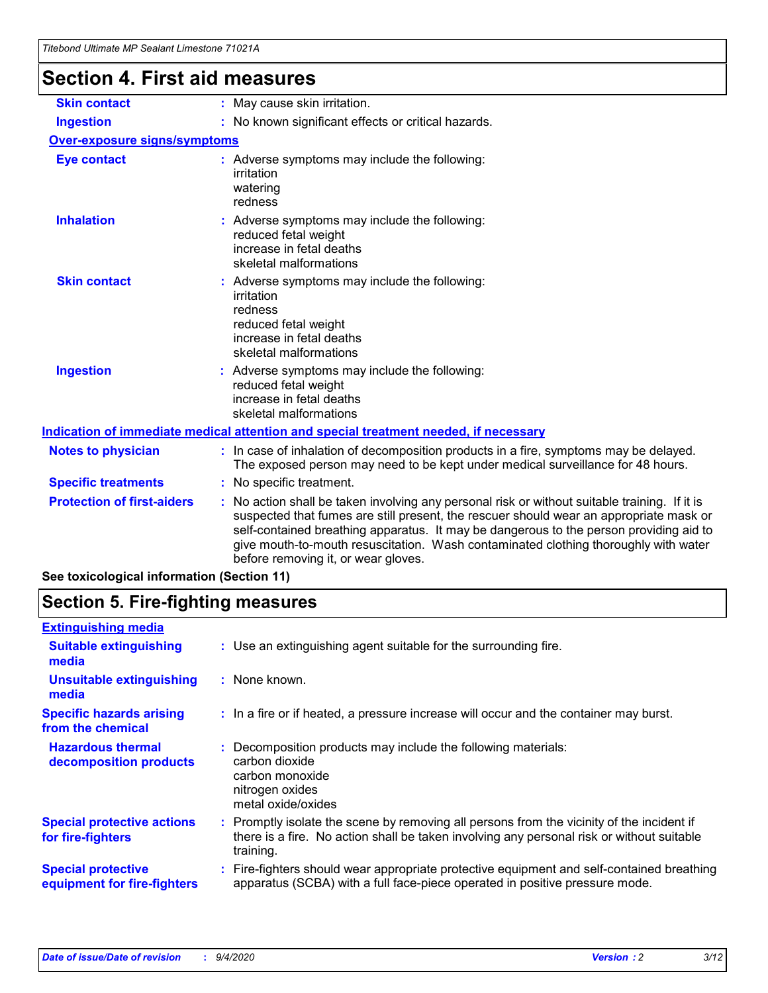# **Section 4. First aid measures**

| <b>Skin contact</b>                 | : May cause skin irritation.                                                                                                                                                                                                                                                                                                                                                                                    |
|-------------------------------------|-----------------------------------------------------------------------------------------------------------------------------------------------------------------------------------------------------------------------------------------------------------------------------------------------------------------------------------------------------------------------------------------------------------------|
| <b>Ingestion</b>                    | : No known significant effects or critical hazards.                                                                                                                                                                                                                                                                                                                                                             |
| <b>Over-exposure signs/symptoms</b> |                                                                                                                                                                                                                                                                                                                                                                                                                 |
| <b>Eye contact</b>                  | : Adverse symptoms may include the following:<br>irritation<br>watering<br>redness                                                                                                                                                                                                                                                                                                                              |
| <b>Inhalation</b>                   | : Adverse symptoms may include the following:<br>reduced fetal weight<br>increase in fetal deaths<br>skeletal malformations                                                                                                                                                                                                                                                                                     |
| <b>Skin contact</b>                 | : Adverse symptoms may include the following:<br>irritation<br>redness<br>reduced fetal weight<br>increase in fetal deaths<br>skeletal malformations                                                                                                                                                                                                                                                            |
| <b>Ingestion</b>                    | : Adverse symptoms may include the following:<br>reduced fetal weight<br>increase in fetal deaths<br>skeletal malformations                                                                                                                                                                                                                                                                                     |
|                                     | <u>Indication of immediate medical attention and special treatment needed, if necessary</u>                                                                                                                                                                                                                                                                                                                     |
| <b>Notes to physician</b>           | : In case of inhalation of decomposition products in a fire, symptoms may be delayed.<br>The exposed person may need to be kept under medical surveillance for 48 hours.                                                                                                                                                                                                                                        |
| <b>Specific treatments</b>          | : No specific treatment.                                                                                                                                                                                                                                                                                                                                                                                        |
| <b>Protection of first-aiders</b>   | : No action shall be taken involving any personal risk or without suitable training. If it is<br>suspected that fumes are still present, the rescuer should wear an appropriate mask or<br>self-contained breathing apparatus. It may be dangerous to the person providing aid to<br>give mouth-to-mouth resuscitation. Wash contaminated clothing thoroughly with water<br>before removing it, or wear gloves. |
|                                     |                                                                                                                                                                                                                                                                                                                                                                                                                 |

**See toxicological information (Section 11)**

# **Section 5. Fire-fighting measures**

| <b>Extinguishing media</b>                               |                                                                                                                                                                                                     |
|----------------------------------------------------------|-----------------------------------------------------------------------------------------------------------------------------------------------------------------------------------------------------|
| <b>Suitable extinguishing</b><br>media                   | : Use an extinguishing agent suitable for the surrounding fire.                                                                                                                                     |
| <b>Unsuitable extinguishing</b><br>media                 | : None known.                                                                                                                                                                                       |
| <b>Specific hazards arising</b><br>from the chemical     | : In a fire or if heated, a pressure increase will occur and the container may burst.                                                                                                               |
| <b>Hazardous thermal</b><br>decomposition products       | Decomposition products may include the following materials:<br>carbon dioxide<br>carbon monoxide<br>nitrogen oxides<br>metal oxide/oxides                                                           |
| <b>Special protective actions</b><br>for fire-fighters   | : Promptly isolate the scene by removing all persons from the vicinity of the incident if<br>there is a fire. No action shall be taken involving any personal risk or without suitable<br>training. |
| <b>Special protective</b><br>equipment for fire-fighters | : Fire-fighters should wear appropriate protective equipment and self-contained breathing<br>apparatus (SCBA) with a full face-piece operated in positive pressure mode.                            |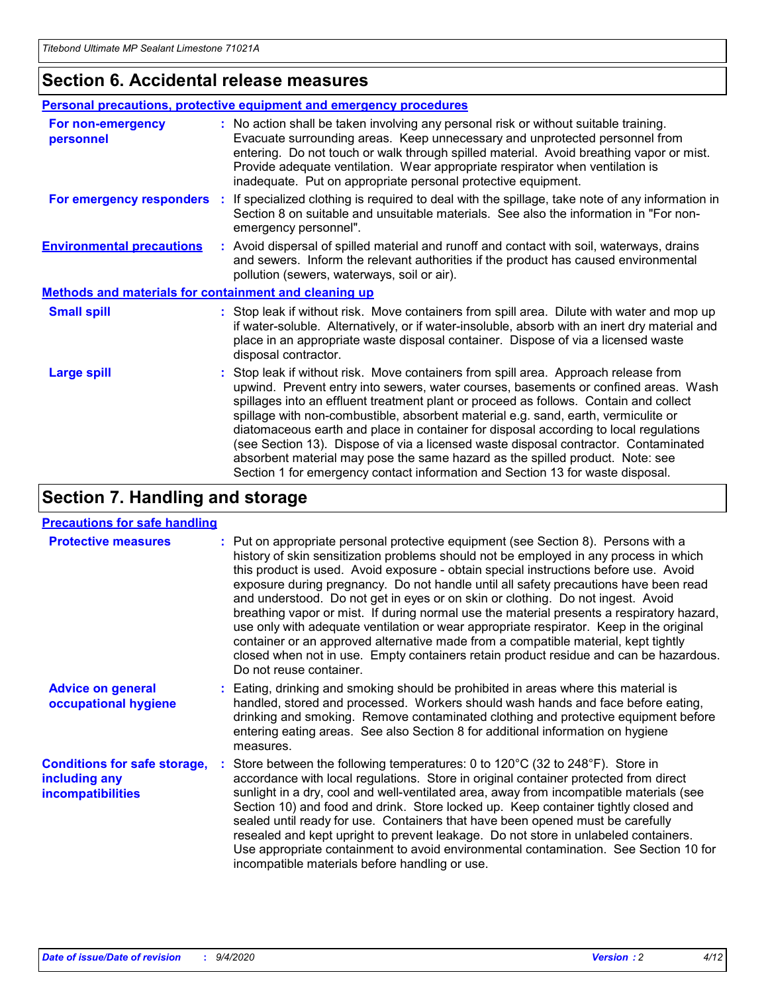### **Section 6. Accidental release measures**

|                                                              | Personal precautions, protective equipment and emergency procedures                                                                                                                                                                                                                                                                                                                                                                                                                                                                                                                                                                                                                                          |
|--------------------------------------------------------------|--------------------------------------------------------------------------------------------------------------------------------------------------------------------------------------------------------------------------------------------------------------------------------------------------------------------------------------------------------------------------------------------------------------------------------------------------------------------------------------------------------------------------------------------------------------------------------------------------------------------------------------------------------------------------------------------------------------|
| For non-emergency<br>personnel                               | : No action shall be taken involving any personal risk or without suitable training.<br>Evacuate surrounding areas. Keep unnecessary and unprotected personnel from<br>entering. Do not touch or walk through spilled material. Avoid breathing vapor or mist.<br>Provide adequate ventilation. Wear appropriate respirator when ventilation is<br>inadequate. Put on appropriate personal protective equipment.                                                                                                                                                                                                                                                                                             |
| For emergency responders                                     | : If specialized clothing is required to deal with the spillage, take note of any information in<br>Section 8 on suitable and unsuitable materials. See also the information in "For non-<br>emergency personnel".                                                                                                                                                                                                                                                                                                                                                                                                                                                                                           |
| <b>Environmental precautions</b>                             | : Avoid dispersal of spilled material and runoff and contact with soil, waterways, drains<br>and sewers. Inform the relevant authorities if the product has caused environmental<br>pollution (sewers, waterways, soil or air).                                                                                                                                                                                                                                                                                                                                                                                                                                                                              |
| <b>Methods and materials for containment and cleaning up</b> |                                                                                                                                                                                                                                                                                                                                                                                                                                                                                                                                                                                                                                                                                                              |
| <b>Small spill</b>                                           | : Stop leak if without risk. Move containers from spill area. Dilute with water and mop up<br>if water-soluble. Alternatively, or if water-insoluble, absorb with an inert dry material and<br>place in an appropriate waste disposal container. Dispose of via a licensed waste<br>disposal contractor.                                                                                                                                                                                                                                                                                                                                                                                                     |
| <b>Large spill</b>                                           | : Stop leak if without risk. Move containers from spill area. Approach release from<br>upwind. Prevent entry into sewers, water courses, basements or confined areas. Wash<br>spillages into an effluent treatment plant or proceed as follows. Contain and collect<br>spillage with non-combustible, absorbent material e.g. sand, earth, vermiculite or<br>diatomaceous earth and place in container for disposal according to local regulations<br>(see Section 13). Dispose of via a licensed waste disposal contractor. Contaminated<br>absorbent material may pose the same hazard as the spilled product. Note: see<br>Section 1 for emergency contact information and Section 13 for waste disposal. |

# **Section 7. Handling and storage**

#### **Precautions for safe handling**

| <b>Protective measures</b>                                                       | : Put on appropriate personal protective equipment (see Section 8). Persons with a<br>history of skin sensitization problems should not be employed in any process in which<br>this product is used. Avoid exposure - obtain special instructions before use. Avoid<br>exposure during pregnancy. Do not handle until all safety precautions have been read<br>and understood. Do not get in eyes or on skin or clothing. Do not ingest. Avoid<br>breathing vapor or mist. If during normal use the material presents a respiratory hazard,<br>use only with adequate ventilation or wear appropriate respirator. Keep in the original<br>container or an approved alternative made from a compatible material, kept tightly<br>closed when not in use. Empty containers retain product residue and can be hazardous.<br>Do not reuse container. |
|----------------------------------------------------------------------------------|--------------------------------------------------------------------------------------------------------------------------------------------------------------------------------------------------------------------------------------------------------------------------------------------------------------------------------------------------------------------------------------------------------------------------------------------------------------------------------------------------------------------------------------------------------------------------------------------------------------------------------------------------------------------------------------------------------------------------------------------------------------------------------------------------------------------------------------------------|
| <b>Advice on general</b><br>occupational hygiene                                 | : Eating, drinking and smoking should be prohibited in areas where this material is<br>handled, stored and processed. Workers should wash hands and face before eating,<br>drinking and smoking. Remove contaminated clothing and protective equipment before<br>entering eating areas. See also Section 8 for additional information on hygiene<br>measures.                                                                                                                                                                                                                                                                                                                                                                                                                                                                                    |
| <b>Conditions for safe storage,</b><br>including any<br><i>incompatibilities</i> | Store between the following temperatures: 0 to 120°C (32 to 248°F). Store in<br>accordance with local regulations. Store in original container protected from direct<br>sunlight in a dry, cool and well-ventilated area, away from incompatible materials (see<br>Section 10) and food and drink. Store locked up. Keep container tightly closed and<br>sealed until ready for use. Containers that have been opened must be carefully<br>resealed and kept upright to prevent leakage. Do not store in unlabeled containers.<br>Use appropriate containment to avoid environmental contamination. See Section 10 for<br>incompatible materials before handling or use.                                                                                                                                                                         |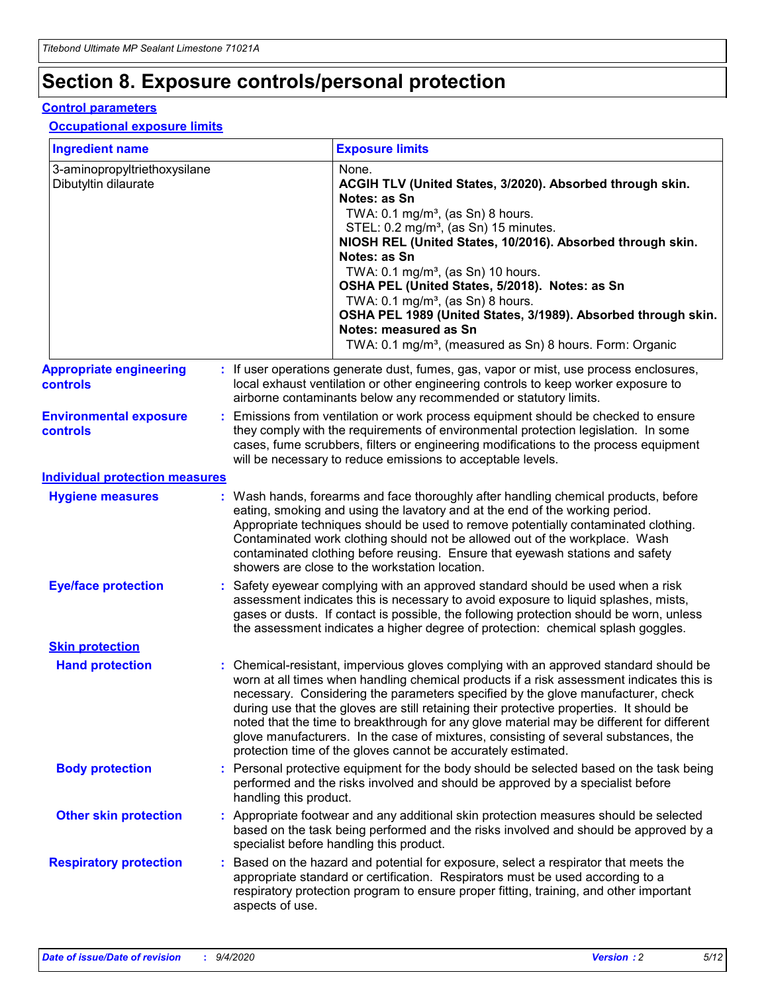# **Section 8. Exposure controls/personal protection**

#### **Control parameters**

#### **Occupational exposure limits**

| <b>Ingredient name</b>                               |    |                                                                                                                                                                                                                                                                                                                               | <b>Exposure limits</b>                                                                                                                                                                                                                                                                                                                                                                                                                                                                                                                                                                                                 |  |
|------------------------------------------------------|----|-------------------------------------------------------------------------------------------------------------------------------------------------------------------------------------------------------------------------------------------------------------------------------------------------------------------------------|------------------------------------------------------------------------------------------------------------------------------------------------------------------------------------------------------------------------------------------------------------------------------------------------------------------------------------------------------------------------------------------------------------------------------------------------------------------------------------------------------------------------------------------------------------------------------------------------------------------------|--|
| 3-aminopropyltriethoxysilane<br>Dibutyltin dilaurate |    |                                                                                                                                                                                                                                                                                                                               | None.<br>ACGIH TLV (United States, 3/2020). Absorbed through skin.<br>Notes: as Sn<br>TWA: $0.1 \text{ mg/m}^3$ , (as Sn) 8 hours.<br>STEL: 0.2 mg/m <sup>3</sup> , (as Sn) 15 minutes.<br>NIOSH REL (United States, 10/2016). Absorbed through skin.<br>Notes: as Sn<br>TWA: 0.1 mg/m <sup>3</sup> , (as Sn) 10 hours.<br>OSHA PEL (United States, 5/2018). Notes: as Sn<br>TWA: 0.1 mg/m <sup>3</sup> , (as Sn) 8 hours.<br>OSHA PEL 1989 (United States, 3/1989). Absorbed through skin.<br>Notes: measured as Sn<br>TWA: 0.1 mg/m <sup>3</sup> , (measured as Sn) 8 hours. Form: Organic                           |  |
| <b>Appropriate engineering</b><br>controls           |    |                                                                                                                                                                                                                                                                                                                               | : If user operations generate dust, fumes, gas, vapor or mist, use process enclosures,<br>local exhaust ventilation or other engineering controls to keep worker exposure to<br>airborne contaminants below any recommended or statutory limits.                                                                                                                                                                                                                                                                                                                                                                       |  |
| <b>Environmental exposure</b><br>controls            |    | Emissions from ventilation or work process equipment should be checked to ensure<br>they comply with the requirements of environmental protection legislation. In some<br>cases, fume scrubbers, filters or engineering modifications to the process equipment<br>will be necessary to reduce emissions to acceptable levels. |                                                                                                                                                                                                                                                                                                                                                                                                                                                                                                                                                                                                                        |  |
| <b>Individual protection measures</b>                |    |                                                                                                                                                                                                                                                                                                                               |                                                                                                                                                                                                                                                                                                                                                                                                                                                                                                                                                                                                                        |  |
| <b>Hygiene measures</b>                              |    |                                                                                                                                                                                                                                                                                                                               | : Wash hands, forearms and face thoroughly after handling chemical products, before<br>eating, smoking and using the lavatory and at the end of the working period.<br>Appropriate techniques should be used to remove potentially contaminated clothing.<br>Contaminated work clothing should not be allowed out of the workplace. Wash<br>contaminated clothing before reusing. Ensure that eyewash stations and safety<br>showers are close to the workstation location.                                                                                                                                            |  |
| <b>Eye/face protection</b>                           |    |                                                                                                                                                                                                                                                                                                                               | Safety eyewear complying with an approved standard should be used when a risk<br>assessment indicates this is necessary to avoid exposure to liquid splashes, mists,<br>gases or dusts. If contact is possible, the following protection should be worn, unless<br>the assessment indicates a higher degree of protection: chemical splash goggles.                                                                                                                                                                                                                                                                    |  |
| <b>Skin protection</b>                               |    |                                                                                                                                                                                                                                                                                                                               |                                                                                                                                                                                                                                                                                                                                                                                                                                                                                                                                                                                                                        |  |
| <b>Hand protection</b>                               |    |                                                                                                                                                                                                                                                                                                                               | : Chemical-resistant, impervious gloves complying with an approved standard should be<br>worn at all times when handling chemical products if a risk assessment indicates this is<br>necessary. Considering the parameters specified by the glove manufacturer, check<br>during use that the gloves are still retaining their protective properties. It should be<br>noted that the time to breakthrough for any glove material may be different for different<br>glove manufacturers. In the case of mixtures, consisting of several substances, the<br>protection time of the gloves cannot be accurately estimated. |  |
| <b>Body protection</b>                               |    | handling this product.                                                                                                                                                                                                                                                                                                        | Personal protective equipment for the body should be selected based on the task being<br>performed and the risks involved and should be approved by a specialist before                                                                                                                                                                                                                                                                                                                                                                                                                                                |  |
| <b>Other skin protection</b>                         |    |                                                                                                                                                                                                                                                                                                                               | : Appropriate footwear and any additional skin protection measures should be selected<br>based on the task being performed and the risks involved and should be approved by a<br>specialist before handling this product.                                                                                                                                                                                                                                                                                                                                                                                              |  |
| <b>Respiratory protection</b>                        | ÷. | aspects of use.                                                                                                                                                                                                                                                                                                               | Based on the hazard and potential for exposure, select a respirator that meets the<br>appropriate standard or certification. Respirators must be used according to a<br>respiratory protection program to ensure proper fitting, training, and other important                                                                                                                                                                                                                                                                                                                                                         |  |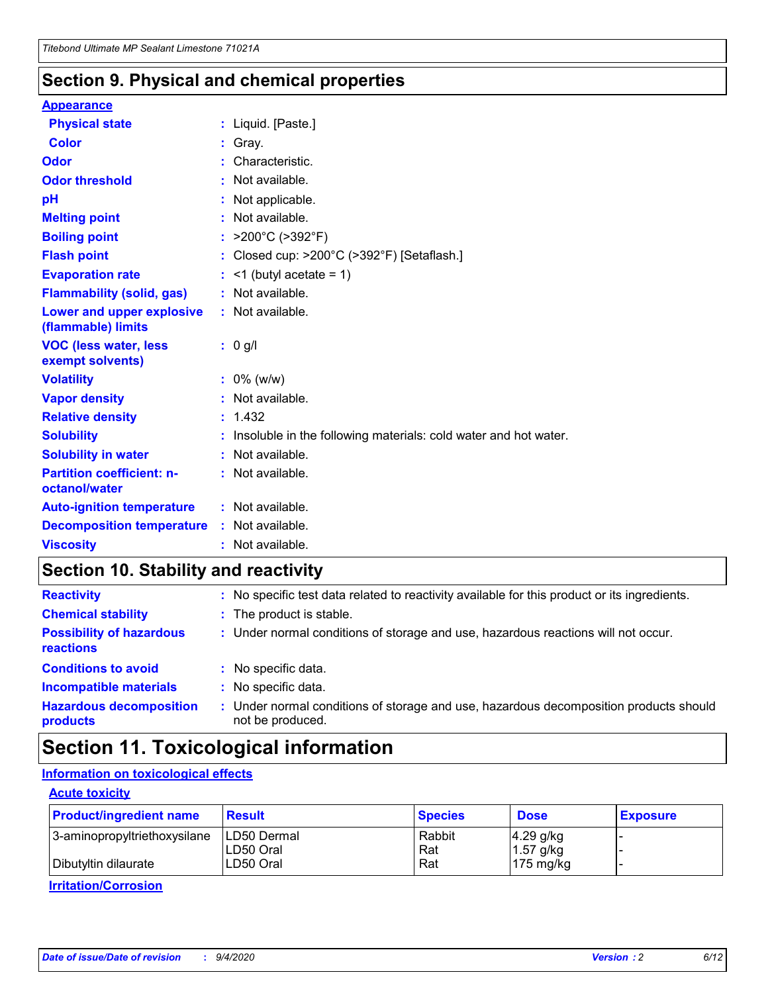### **Section 9. Physical and chemical properties**

#### **Appearance**

| <b>Physical state</b>                             | : Liquid. [Paste.]                                              |
|---------------------------------------------------|-----------------------------------------------------------------|
| Color                                             | Gray.                                                           |
| Odor                                              | : Characteristic.                                               |
| <b>Odor threshold</b>                             | : Not available.                                                |
| рH                                                | : Not applicable.                                               |
| <b>Melting point</b>                              | : Not available.                                                |
| <b>Boiling point</b>                              | : $>200^{\circ}$ C ( $>392^{\circ}$ F)                          |
| <b>Flash point</b>                                | : Closed cup: >200°C (>392°F) [Setaflash.]                      |
| <b>Evaporation rate</b>                           | $:$ <1 (butyl acetate = 1)                                      |
| <b>Flammability (solid, gas)</b>                  | : Not available.                                                |
| Lower and upper explosive<br>(flammable) limits   | $:$ Not available.                                              |
| <b>VOC (less water, less</b><br>exempt solvents)  | : 0 g/l                                                         |
| <b>Volatility</b>                                 | $: 0\%$ (w/w)                                                   |
| <b>Vapor density</b>                              | : Not available.                                                |
| <b>Relative density</b>                           | : 1.432                                                         |
| <b>Solubility</b>                                 |                                                                 |
|                                                   | Insoluble in the following materials: cold water and hot water. |
| <b>Solubility in water</b>                        | : Not available.                                                |
| <b>Partition coefficient: n-</b><br>octanol/water | $:$ Not available.                                              |
| <b>Auto-ignition temperature</b>                  | : Not available.                                                |
| <b>Decomposition temperature</b>                  | : Not available.                                                |

# **Section 10. Stability and reactivity**

| <b>Reactivity</b>                            | : No specific test data related to reactivity available for this product or its ingredients.            |
|----------------------------------------------|---------------------------------------------------------------------------------------------------------|
| <b>Chemical stability</b>                    | : The product is stable.                                                                                |
| <b>Possibility of hazardous</b><br>reactions | : Under normal conditions of storage and use, hazardous reactions will not occur.                       |
| <b>Conditions to avoid</b>                   | : No specific data.                                                                                     |
| <b>Incompatible materials</b>                | : No specific data.                                                                                     |
| <b>Hazardous decomposition</b><br>products   | Under normal conditions of storage and use, hazardous decomposition products should<br>not be produced. |

# **Section 11. Toxicological information**

### **Information on toxicological effects**

#### **Acute toxicity**

| <b>Product/ingredient name</b> | <b>Result</b>           | <b>Species</b> | <b>Dose</b>                | <b>Exposure</b> |
|--------------------------------|-------------------------|----------------|----------------------------|-----------------|
| 3-aminopropyltriethoxysilane   | <b>ILD50 Dermal</b>     | Rabbit         | 4.29 g/kg                  |                 |
| Dibutyltin dilaurate           | ILD50 Oral<br>LD50 Oral | Rat<br>Rat     | $1.57$ g/kg<br>175 $mg/kg$ |                 |
|                                |                         |                |                            |                 |

**Irritation/Corrosion**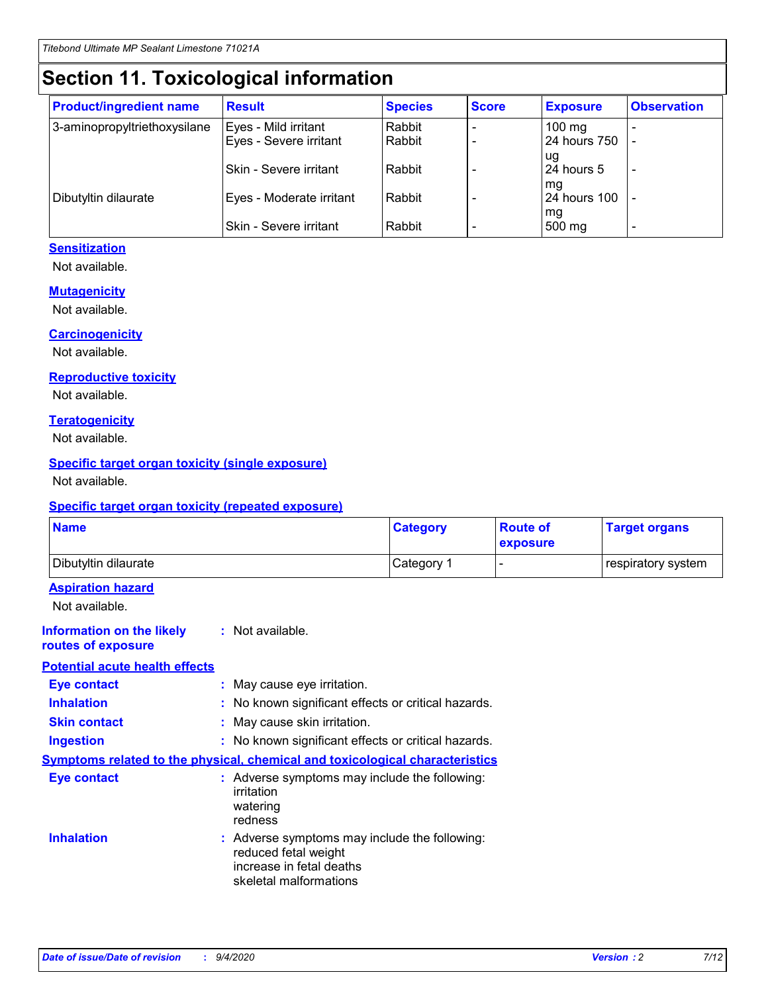# **Section 11. Toxicological information**

| <b>Product/ingredient name</b> | <b>Result</b>            | <b>Species</b> | <b>Score</b> | <b>Exposure</b>           | <b>Observation</b> |
|--------------------------------|--------------------------|----------------|--------------|---------------------------|--------------------|
| 3-aminopropyltriethoxysilane   | Eyes - Mild irritant     | Rabbit         |              | $100$ mg                  |                    |
|                                | Eyes - Severe irritant   | Rabbit         |              | 24 hours 750              |                    |
|                                |                          |                |              | ug                        |                    |
|                                | Skin - Severe irritant   | Rabbit         |              | 24 hours 5                | -                  |
| Dibutyltin dilaurate           | Eyes - Moderate irritant | Rabbit         |              | mq<br><b>24 hours 100</b> |                    |
|                                |                          |                |              | mg                        |                    |
|                                | Skin - Severe irritant   | Rabbit         |              | 500 mg                    |                    |

#### **Sensitization**

Not available.

#### **Mutagenicity**

Not available.

#### **Carcinogenicity**

Not available.

#### **Reproductive toxicity**

Not available.

#### **Teratogenicity**

Not available.

#### **Specific target organ toxicity (single exposure)**

Not available.

#### **Specific target organ toxicity (repeated exposure)**

| <b>Name</b>                                                                  |                                                                            | <b>Category</b>                                     | <b>Route of</b><br>exposure | <b>Target organs</b> |  |  |
|------------------------------------------------------------------------------|----------------------------------------------------------------------------|-----------------------------------------------------|-----------------------------|----------------------|--|--|
| Dibutyltin dilaurate                                                         |                                                                            | Category 1                                          | -                           | respiratory system   |  |  |
| <b>Aspiration hazard</b><br>Not available.                                   |                                                                            |                                                     |                             |                      |  |  |
| <b>Information on the likely</b><br>routes of exposure                       | : Not available.                                                           |                                                     |                             |                      |  |  |
| <b>Potential acute health effects</b>                                        |                                                                            |                                                     |                             |                      |  |  |
| <b>Eye contact</b>                                                           | : May cause eye irritation.                                                |                                                     |                             |                      |  |  |
| <b>Inhalation</b>                                                            |                                                                            | : No known significant effects or critical hazards. |                             |                      |  |  |
| <b>Skin contact</b>                                                          |                                                                            | : May cause skin irritation.                        |                             |                      |  |  |
| <b>Ingestion</b>                                                             |                                                                            | : No known significant effects or critical hazards. |                             |                      |  |  |
| Symptoms related to the physical, chemical and toxicological characteristics |                                                                            |                                                     |                             |                      |  |  |
| <b>Eye contact</b>                                                           | irritation<br>watering<br>redness                                          | : Adverse symptoms may include the following:       |                             |                      |  |  |
| <b>Inhalation</b>                                                            | reduced fetal weight<br>increase in fetal deaths<br>skeletal malformations | : Adverse symptoms may include the following:       |                             |                      |  |  |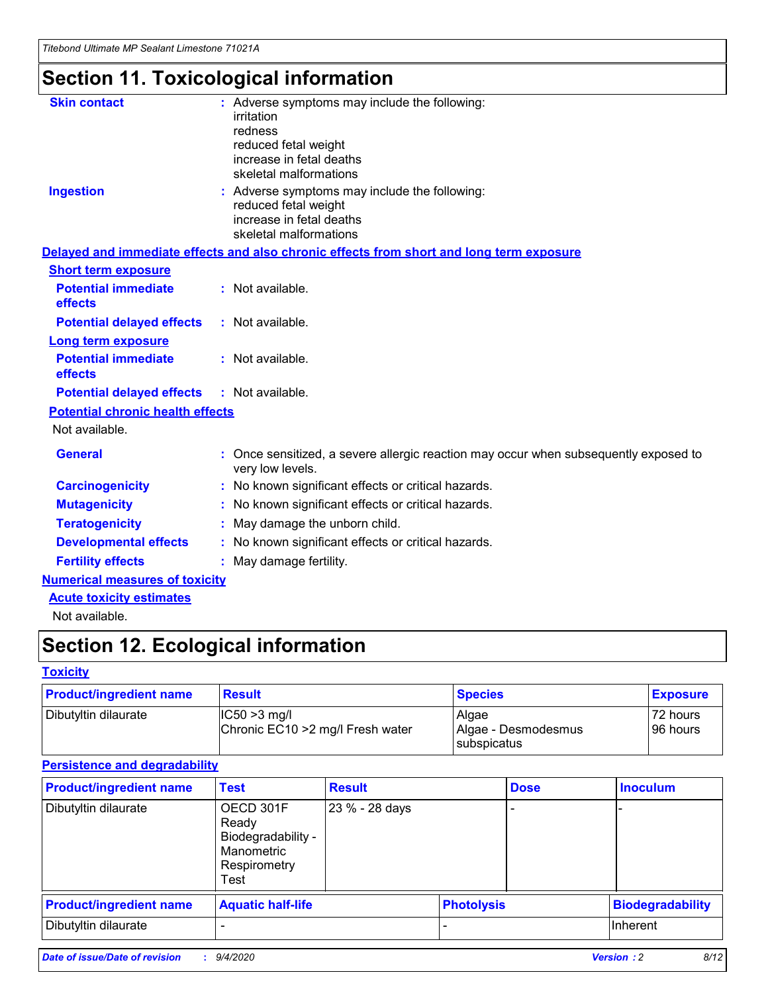# **Section 11. Toxicological information**

| <b>Skin contact</b>                     | : Adverse symptoms may include the following:                                                            |
|-----------------------------------------|----------------------------------------------------------------------------------------------------------|
|                                         | irritation                                                                                               |
|                                         | redness                                                                                                  |
|                                         | reduced fetal weight                                                                                     |
|                                         | increase in fetal deaths                                                                                 |
|                                         | skeletal malformations                                                                                   |
| <b>Ingestion</b>                        | : Adverse symptoms may include the following:                                                            |
|                                         | reduced fetal weight                                                                                     |
|                                         | increase in fetal deaths                                                                                 |
|                                         | skeletal malformations                                                                                   |
|                                         | Delayed and immediate effects and also chronic effects from short and long term exposure                 |
| <b>Short term exposure</b>              |                                                                                                          |
| <b>Potential immediate</b>              | : Not available.                                                                                         |
| effects                                 |                                                                                                          |
| <b>Potential delayed effects</b>        | : Not available.                                                                                         |
| Long term exposure                      |                                                                                                          |
| <b>Potential immediate</b>              | : Not available.                                                                                         |
| effects                                 |                                                                                                          |
| <b>Potential delayed effects</b>        | : Not available.                                                                                         |
| <b>Potential chronic health effects</b> |                                                                                                          |
| Not available.                          |                                                                                                          |
| <b>General</b>                          | : Once sensitized, a severe allergic reaction may occur when subsequently exposed to<br>very low levels. |
| <b>Carcinogenicity</b>                  | : No known significant effects or critical hazards.                                                      |
| <b>Mutagenicity</b>                     | : No known significant effects or critical hazards.                                                      |
| <b>Teratogenicity</b>                   | May damage the unborn child.                                                                             |
| <b>Developmental effects</b>            | : No known significant effects or critical hazards.                                                      |
| <b>Fertility effects</b>                | May damage fertility.                                                                                    |
| <b>Numerical measures of toxicity</b>   |                                                                                                          |
| <b>Acute toxicity estimates</b>         |                                                                                                          |
| الملحلة والمستحيط والمسالم              |                                                                                                          |

Not available.

# **Section 12. Ecological information**

#### **Toxicity**

| <b>Product/ingredient name</b>                                              | <b>Result</b> | <b>Species</b>               | <b>Exposure</b>       |
|-----------------------------------------------------------------------------|---------------|------------------------------|-----------------------|
| Dibutyltin dilaurate<br>$ CC50>3$ mg/l<br>Chronic EC10 > 2 mg/l Fresh water |               | Algae<br>Algae - Desmodesmus | 72 hours<br>196 hours |
|                                                                             |               | <b>I</b> subspicatus         |                       |

#### **Persistence and degradability**

| <b>Product/ingredient name</b> | <b>Test</b>                                                                    | <b>Result</b>  |                   | <b>Dose</b> | <b>Inoculum</b>         |
|--------------------------------|--------------------------------------------------------------------------------|----------------|-------------------|-------------|-------------------------|
| Dibutyltin dilaurate           | OECD 301F<br>Ready<br>Biodegradability -<br>Manometric<br>Respirometry<br>Test | 23 % - 28 days |                   |             |                         |
| <b>Product/ingredient name</b> | <b>Aquatic half-life</b>                                                       |                | <b>Photolysis</b> |             | <b>Biodegradability</b> |
| Dibutyltin dilaurate           |                                                                                |                |                   |             | <b>Inherent</b>         |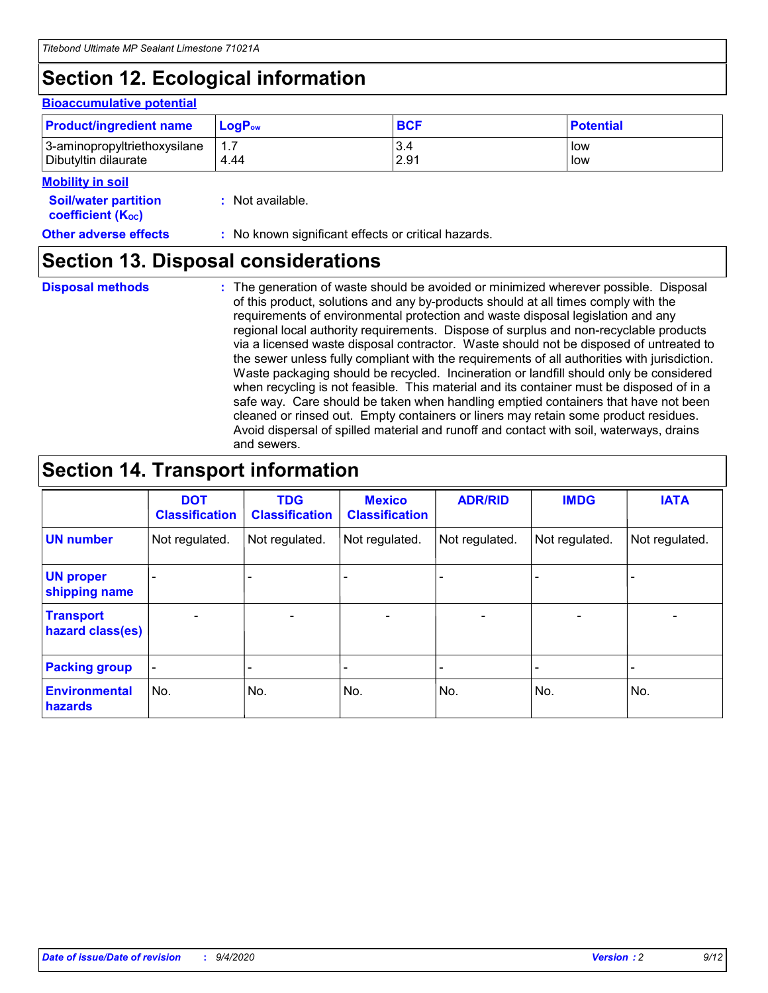# **Section 12. Ecological information**

#### **Bioaccumulative potential**

| <b>Product/ingredient name</b> | <b>LogP</b> <sub>ow</sub> | <b>BCF</b> | <b>Potential</b> |
|--------------------------------|---------------------------|------------|------------------|
| 3-aminopropyltriethoxysilane   | 4.44                      | 3.4        | low              |
| Dibutyltin dilaurate           |                           | 2.91       | low              |

#### **Mobility in soil**

| <b>Soil/water partition</b>    | : Not available. |
|--------------------------------|------------------|
| coefficient (K <sub>oc</sub> ) |                  |

#### **Other adverse effects** : No known significant effects or critical hazards.

### **Section 13. Disposal considerations**

**Disposal methods :**

The generation of waste should be avoided or minimized wherever possible. Disposal of this product, solutions and any by-products should at all times comply with the requirements of environmental protection and waste disposal legislation and any regional local authority requirements. Dispose of surplus and non-recyclable products via a licensed waste disposal contractor. Waste should not be disposed of untreated to the sewer unless fully compliant with the requirements of all authorities with jurisdiction. Waste packaging should be recycled. Incineration or landfill should only be considered when recycling is not feasible. This material and its container must be disposed of in a safe way. Care should be taken when handling emptied containers that have not been cleaned or rinsed out. Empty containers or liners may retain some product residues. Avoid dispersal of spilled material and runoff and contact with soil, waterways, drains and sewers.

# **Section 14. Transport information**

|                                      | <b>DOT</b><br><b>Classification</b> | <b>TDG</b><br><b>Classification</b> | <b>Mexico</b><br><b>Classification</b> | <b>ADR/RID</b>           | <b>IMDG</b>              | <b>IATA</b>    |
|--------------------------------------|-------------------------------------|-------------------------------------|----------------------------------------|--------------------------|--------------------------|----------------|
| <b>UN number</b>                     | Not regulated.                      | Not regulated.                      | Not regulated.                         | Not regulated.           | Not regulated.           | Not regulated. |
| <b>UN proper</b><br>shipping name    |                                     |                                     |                                        |                          |                          |                |
| <b>Transport</b><br>hazard class(es) |                                     | $\overline{\phantom{0}}$            | $\qquad \qquad \blacksquare$           | $\overline{\phantom{0}}$ | $\overline{\phantom{0}}$ |                |
| <b>Packing group</b>                 |                                     |                                     |                                        |                          |                          |                |
| <b>Environmental</b><br>hazards      | No.                                 | No.                                 | No.                                    | No.                      | No.                      | No.            |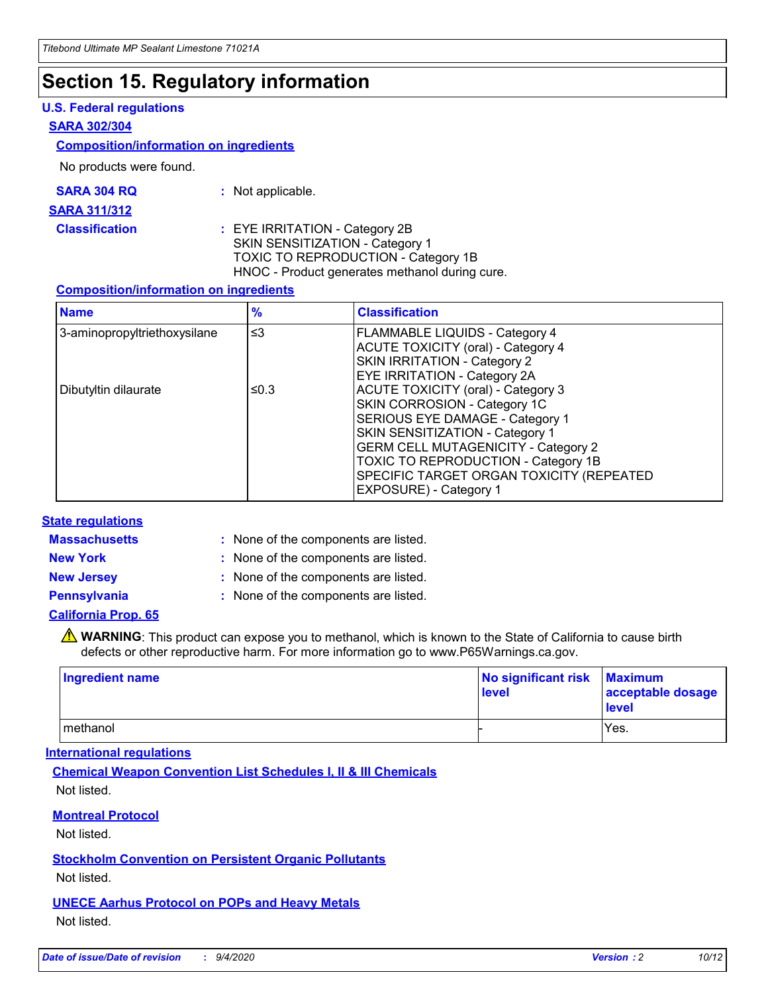# **Section 15. Regulatory information**

#### **U.S. Federal regulations**

#### **SARA 302/304**

#### **Composition/information on ingredients**

No products were found.

| SARA 304 RQ | Not applicable. |
|-------------|-----------------|
|-------------|-----------------|

#### **SARA 311/312**

**Classification :** EYE IRRITATION - Category 2B SKIN SENSITIZATION - Category 1 TOXIC TO REPRODUCTION - Category 1B HNOC - Product generates methanol during cure.

#### **Composition/information on ingredients**

| <b>Name</b>                  | $\frac{9}{6}$ | <b>Classification</b>                                                                                                                                                                                                                                                                                      |
|------------------------------|---------------|------------------------------------------------------------------------------------------------------------------------------------------------------------------------------------------------------------------------------------------------------------------------------------------------------------|
| 3-aminopropyltriethoxysilane | $\leq$ 3      | <b>FLAMMABLE LIQUIDS - Category 4</b><br><b>ACUTE TOXICITY (oral) - Category 4</b><br>SKIN IRRITATION - Category 2<br>EYE IRRITATION - Category 2A                                                                                                                                                         |
| Dibutyltin dilaurate         | ≤0.3          | <b>ACUTE TOXICITY (oral) - Category 3</b><br>SKIN CORROSION - Category 1C<br>SERIOUS EYE DAMAGE - Category 1<br>SKIN SENSITIZATION - Category 1<br><b>GERM CELL MUTAGENICITY - Category 2</b><br>TOXIC TO REPRODUCTION - Category 1B<br>SPECIFIC TARGET ORGAN TOXICITY (REPEATED<br>EXPOSURE) - Category 1 |

#### **State regulations**

**Massachusetts :**

: None of the components are listed.

**New York :** None of the components are listed.

**New Jersey :** None of the components are listed.

**Pennsylvania :** None of the components are listed.

#### **California Prop. 65**

WARNING: This product can expose you to methanol, which is known to the State of California to cause birth defects or other reproductive harm. For more information go to www.P65Warnings.ca.gov.

| Ingredient name | No significant risk<br>level | <b>Maximum</b><br>acceptable dosage<br><b>level</b> |
|-----------------|------------------------------|-----------------------------------------------------|
| l methanol      |                              | Yes.                                                |

#### **International regulations**

**Chemical Weapon Convention List Schedules I, II & III Chemicals** Not listed.

#### **Montreal Protocol**

Not listed.

**Stockholm Convention on Persistent Organic Pollutants**

Not listed.

#### **UNECE Aarhus Protocol on POPs and Heavy Metals** Not listed.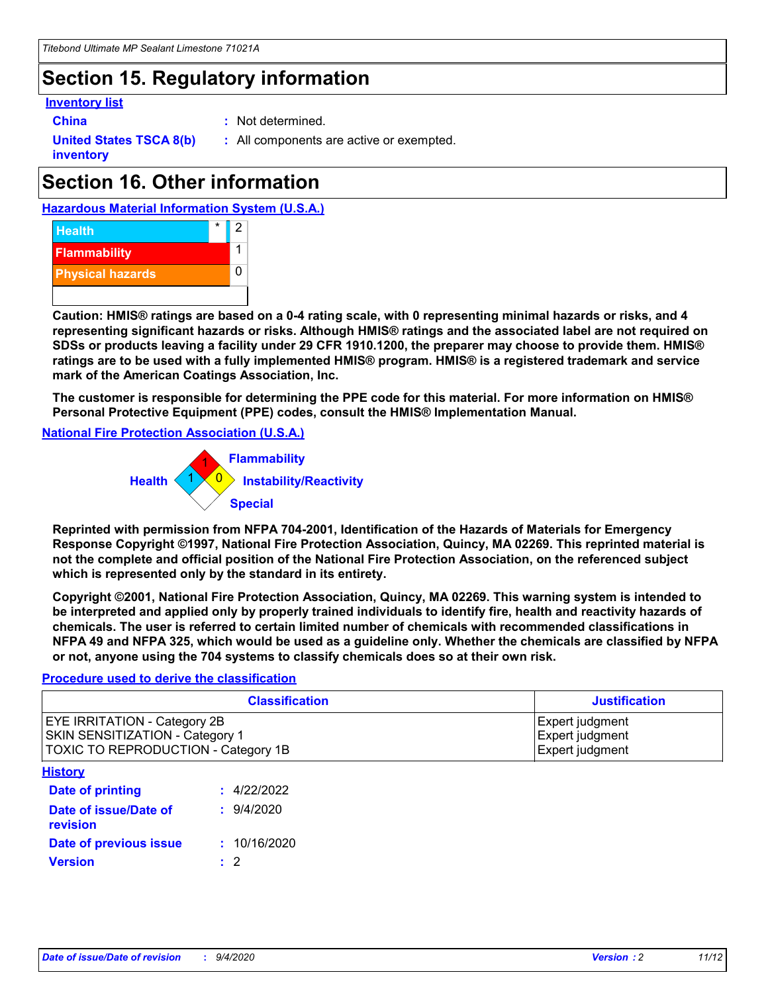# **Section 15. Regulatory information**

#### **Inventory list**

- 
- **China :** Not determined.

**United States TSCA 8(b) inventory**

**:** All components are active or exempted.

# **Section 16. Other information**

**Hazardous Material Information System (U.S.A.)**



**Caution: HMIS® ratings are based on a 0-4 rating scale, with 0 representing minimal hazards or risks, and 4 representing significant hazards or risks. Although HMIS® ratings and the associated label are not required on SDSs or products leaving a facility under 29 CFR 1910.1200, the preparer may choose to provide them. HMIS® ratings are to be used with a fully implemented HMIS® program. HMIS® is a registered trademark and service mark of the American Coatings Association, Inc.**

**The customer is responsible for determining the PPE code for this material. For more information on HMIS® Personal Protective Equipment (PPE) codes, consult the HMIS® Implementation Manual.**

**National Fire Protection Association (U.S.A.)**



**Reprinted with permission from NFPA 704-2001, Identification of the Hazards of Materials for Emergency Response Copyright ©1997, National Fire Protection Association, Quincy, MA 02269. This reprinted material is not the complete and official position of the National Fire Protection Association, on the referenced subject which is represented only by the standard in its entirety.**

**Copyright ©2001, National Fire Protection Association, Quincy, MA 02269. This warning system is intended to be interpreted and applied only by properly trained individuals to identify fire, health and reactivity hazards of chemicals. The user is referred to certain limited number of chemicals with recommended classifications in NFPA 49 and NFPA 325, which would be used as a guideline only. Whether the chemicals are classified by NFPA or not, anyone using the 704 systems to classify chemicals does so at their own risk.**

#### **Procedure used to derive the classification**

| <b>Classification</b>                                                                                         | <b>Justification</b>                                  |
|---------------------------------------------------------------------------------------------------------------|-------------------------------------------------------|
| <b>EYE IRRITATION - Category 2B</b><br>SKIN SENSITIZATION - Category 1<br>TOXIC TO REPRODUCTION - Category 1B | Expert judgment<br>Expert judgment<br>Expert judgment |
| <b>History</b>                                                                                                |                                                       |

| <u>.</u>                          |              |
|-----------------------------------|--------------|
| <b>Date of printing</b>           | : 4/22/2022  |
| Date of issue/Date of<br>revision | 9/4/2020     |
| Date of previous issue            | : 10/16/2020 |
| <b>Version</b>                    | $\cdot$ 2    |
|                                   |              |